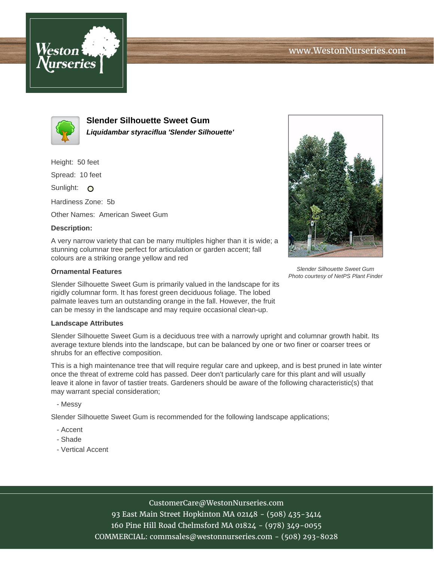





**Slender Silhouette Sweet Gum Liquidambar styraciflua 'Slender Silhouette'**

Height: 50 feet

Spread: 10 feet

Sunlight: O

Hardiness Zone: 5b

Other Names: American Sweet Gum

## **Description:**

A very narrow variety that can be many multiples higher than it is wide; a stunning columnar tree perfect for articulation or garden accent; fall colours are a striking orange yellow and red

## **Ornamental Features**

Slender Silhouette Sweet Gum is primarily valued in the landscape for its rigidly columnar form. It has forest green deciduous foliage. The lobed palmate leaves turn an outstanding orange in the fall. However, the fruit can be messy in the landscape and may require occasional clean-up.

## **Landscape Attributes**

Slender Silhouette Sweet Gum is a deciduous tree with a narrowly upright and columnar growth habit. Its average texture blends into the landscape, but can be balanced by one or two finer or coarser trees or shrubs for an effective composition.

This is a high maintenance tree that will require regular care and upkeep, and is best pruned in late winter once the threat of extreme cold has passed. Deer don't particularly care for this plant and will usually leave it alone in favor of tastier treats. Gardeners should be aware of the following characteristic(s) that may warrant special consideration;

- Messy

Slender Silhouette Sweet Gum is recommended for the following landscape applications;

- Accent
- Shade
- Vertical Accent



Photo courtesy of NetPS Plant Finder

CustomerCare@WestonNurseries.com

93 East Main Street Hopkinton MA 02148 - (508) 435-3414 160 Pine Hill Road Chelmsford MA 01824 - (978) 349-0055 COMMERCIAL: commsales@westonnurseries.com - (508) 293-8028